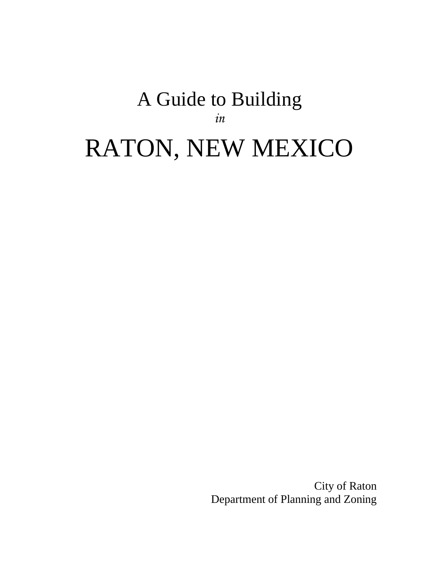# A Guide to Building *in* RATON, NEW MEXICO

City of Raton Department of Planning and Zoning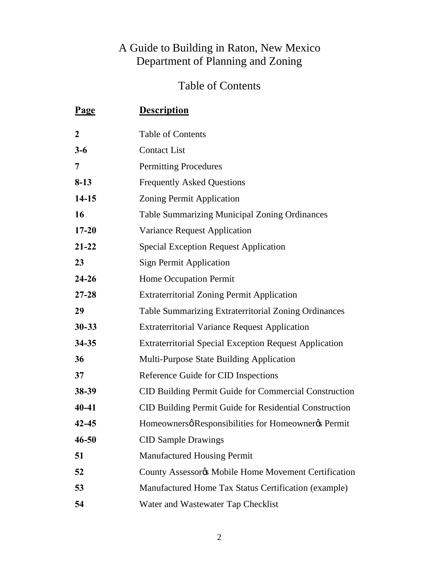# A Guide to Building in Raton, New Mexico Department of Planning and Zoning

# Table of Contents

| <u>Page</u>    | <b>Description</b>                                            |
|----------------|---------------------------------------------------------------|
| $\overline{2}$ | <b>Table of Contents</b>                                      |
| $3 - 6$        | <b>Contact List</b>                                           |
| 7              | <b>Permitting Procedures</b>                                  |
| $8-13$         | <b>Frequently Asked Questions</b>                             |
| $14-15$        | Zoning Permit Application                                     |
| 16             | <b>Table Summarizing Municipal Zoning Ordinances</b>          |
| $17 - 20$      | <b>Variance Request Application</b>                           |
| $21 - 22$      | <b>Special Exception Request Application</b>                  |
| 23             | <b>Sign Permit Application</b>                                |
| $24 - 26$      | Home Occupation Permit                                        |
| $27 - 28$      | <b>Extraterritorial Zoning Permit Application</b>             |
| 29             | Table Summarizing Extraterritorial Zoning Ordinances          |
| $30 - 33$      | <b>Extraterritorial Variance Request Application</b>          |
| $34 - 35$      | <b>Extraterritorial Special Exception Request Application</b> |
| 36             | Multi-Purpose State Building Application                      |
| 37             | Reference Guide for CID Inspections                           |
| 38-39          | CID Building Permit Guide for Commercial Construction         |
| $40 - 41$      | CID Building Permit Guide for Residential Construction        |
| $42 - 45$      | Homeownersø Responsibilities for Homeownerøs Permit           |
| $46 - 50$      | <b>CID Sample Drawings</b>                                    |
| 51             | Manufactured Housing Permit                                   |
| 52             | County Assessorys Mobile Home Movement Certification          |
| 53             | Manufactured Home Tax Status Certification (example)          |
| 54             | Water and Wastewater Tap Checklist                            |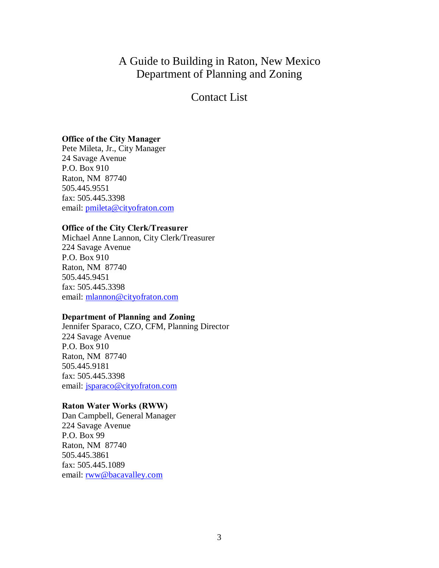### A Guide to Building in Raton, New Mexico Department of Planning and Zoning

### Contact List

### **Office of the City Manager**

Pete Mileta, Jr., City Manager 24 Savage Avenue P.O. Box 910 Raton, NM 87740 505.445.9551 fax: 505.445.3398 email: pmileta@cityofraton.com

### **Office of the City Clerk/Treasurer**

Michael Anne Lannon, City Clerk/Treasurer 224 Savage Avenue P.O. Box 910 Raton, NM 87740 505.445.9451 fax: 505.445.3398 email: mlannon@cityofraton.com

### **Department of Planning and Zoning**

Jennifer Sparaco, CZO, CFM, Planning Director 224 Savage Avenue P.O. Box 910 Raton, NM 87740 505.445.9181 fax: 505.445.3398 email: jsparaco@cityofraton.com

### **Raton Water Works (RWW)**

Dan Campbell, General Manager 224 Savage Avenue P.O. Box 99 Raton, NM 87740 505.445.3861 fax: 505.445.1089 email: rww@bacavalley.com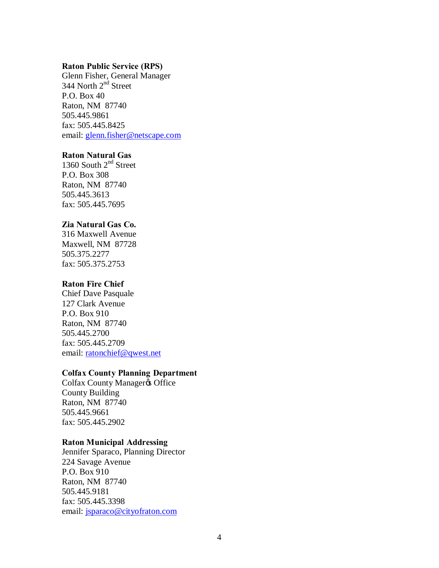#### **Raton Public Service (RPS)**

Glenn Fisher, General Manager 344 North  $2<sup>nd</sup>$  Street P.O. Box 40 Raton, NM 87740 505.445.9861 fax: 505.445.8425 email: glenn.fisher@netscape.com

### **Raton Natural Gas**

1360 South  $2<sup>nd</sup>$  Street P.O. Box 308 Raton, NM 87740 505.445.3613 fax: 505.445.7695

### **Zia Natural Gas Co.**

316 Maxwell Avenue Maxwell, NM 87728 505.375.2277 fax: 505.375.2753

### **Raton Fire Chief**

Chief Dave Pasquale 127 Clark Avenue P.O. Box 910 Raton, NM 87740 505.445.2700 fax: 505.445.2709 email: ratonchief@qwest.net

#### **Colfax County Planning Department**

Colfax County Manager& Office County Building Raton, NM 87740 505.445.9661 fax: 505.445.2902

### **Raton Municipal Addressing**

Jennifer Sparaco, Planning Director 224 Savage Avenue P.O. Box 910 Raton, NM 87740 505.445.9181 fax: 505.445.3398 email: jsparaco@cityofraton.com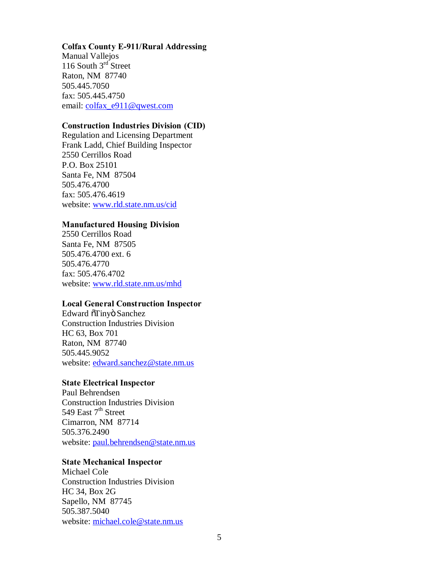### **Colfax County E-911/Rural Addressing**

Manual Vallejos 116 South  $3<sup>rd</sup>$  Street Raton, NM 87740 505.445.7050 fax: 505.445.4750 email: colfax\_e911@qwest.com

### **Construction Industries Division (CID)**

Regulation and Licensing Department Frank Ladd, Chief Building Inspector 2550 Cerrillos Road P.O. Box 25101 Santa Fe, NM 87504 505.476.4700 fax: 505.476.4619 website: www.rld.state.nm.us/cid

### **Manufactured Housing Division**

2550 Cerrillos Road Santa Fe, NM 87505 505.476.4700 ext. 6 505.476.4770 fax: 505.476.4702 website: www.rld.state.nm.us/mhd

### **Local General Construction Inspector**

Edward  $\tilde{\text{or}}$ Tinyö Sanchez Construction Industries Division HC 63, Box 701 Raton, NM 87740 505.445.9052 website: edward.sanchez@state.nm.us

### **State Electrical Inspector**

Paul Behrendsen Construction Industries Division 549 East  $7<sup>th</sup>$  Street Cimarron, NM 87714 505.376.2490 website: paul.behrendsen@state.nm.us

### **State Mechanical Inspector**

Michael Cole Construction Industries Division HC 34, Box 2G Sapello, NM 87745 505.387.5040 website: michael.cole@state.nm.us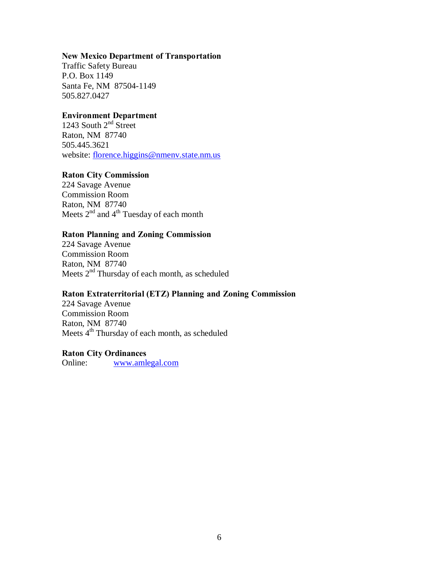### **New Mexico Department of Transportation**

Traffic Safety Bureau P.O. Box 1149 Santa Fe, NM 87504-1149 505.827.0427

### **Environment Department**

1243 South  $2<sup>nd</sup>$  Street Raton, NM 87740 505.445.3621 website: florence.higgins@nmenv.state.nm.us

### **Raton City Commission**

224 Savage Avenue Commission Room Raton, NM 87740 Meets  $2^{nd}$  and  $4^{th}$  Tuesday of each month

### **Raton Planning and Zoning Commission**

224 Savage Avenue Commission Room Raton, NM 87740 Meets 2<sup>nd</sup> Thursday of each month, as scheduled

### **Raton Extraterritorial (ETZ) Planning and Zoning Commission**

224 Savage Avenue Commission Room Raton, NM 87740 Meets 4<sup>th</sup> Thursday of each month, as scheduled

### **Raton City Ordinances**

Online: www.amlegal.com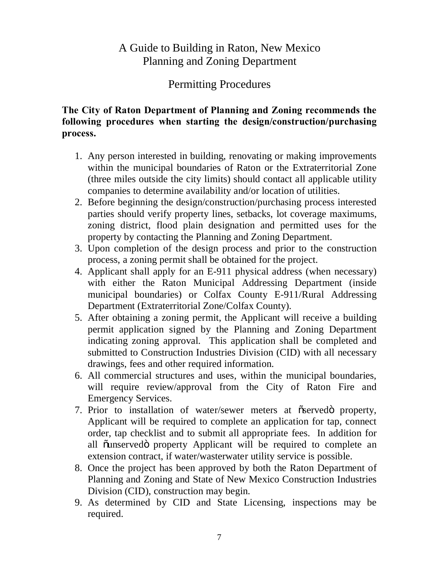# A Guide to Building in Raton, New Mexico Planning and Zoning Department

### Permitting Procedures

### **The City of Raton Department of Planning and Zoning recommends the following procedures when starting the design/construction/purchasing process.**

- 1. Any person interested in building, renovating or making improvements within the municipal boundaries of Raton or the Extraterritorial Zone (three miles outside the city limits) should contact all applicable utility companies to determine availability and/or location of utilities.
- 2. Before beginning the design/construction/purchasing process interested parties should verify property lines, setbacks, lot coverage maximums, zoning district, flood plain designation and permitted uses for the property by contacting the Planning and Zoning Department.
- 3. Upon completion of the design process and prior to the construction process, a zoning permit shall be obtained for the project.
- 4. Applicant shall apply for an E-911 physical address (when necessary) with either the Raton Municipal Addressing Department (inside municipal boundaries) or Colfax County E-911/Rural Addressing Department (Extraterritorial Zone/Colfax County).
- 5. After obtaining a zoning permit, the Applicant will receive a building permit application signed by the Planning and Zoning Department indicating zoning approval. This application shall be completed and submitted to Construction Industries Division (CID) with all necessary drawings, fees and other required information.
- 6. All commercial structures and uses, within the municipal boundaries, will require review/approval from the City of Raton Fire and Emergency Services.
- 7. Prior to installation of water/sewer meters at  $\tilde{\sigma}$  served oproperty, Applicant will be required to complete an application for tap, connect order, tap checklist and to submit all appropriate fees. In addition for all õunservedö property Applicant will be required to complete an extension contract, if water/wasterwater utility service is possible.
- 8. Once the project has been approved by both the Raton Department of Planning and Zoning and State of New Mexico Construction Industries Division (CID), construction may begin.
- 9. As determined by CID and State Licensing, inspections may be required.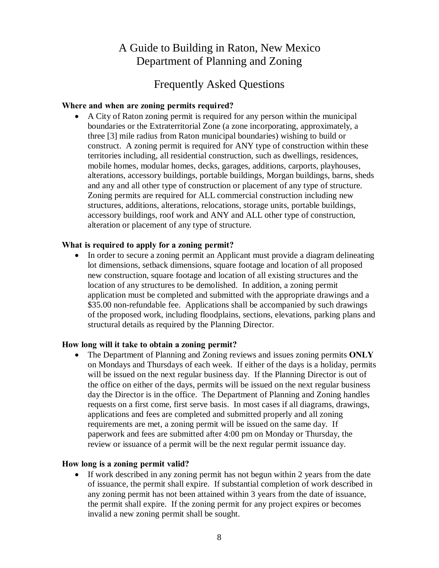# A Guide to Building in Raton, New Mexico Department of Planning and Zoning

### Frequently Asked Questions

### **Where and when are zoning permits required?**

· A City of Raton zoning permit is required for any person within the municipal boundaries or the Extraterritorial Zone (a zone incorporating, approximately, a three [3] mile radius from Raton municipal boundaries) wishing to build or construct. A zoning permit is required for ANY type of construction within these territories including, all residential construction, such as dwellings, residences, mobile homes, modular homes, decks, garages, additions, carports, playhouses, alterations, accessory buildings, portable buildings, Morgan buildings, barns, sheds and any and all other type of construction or placement of any type of structure. Zoning permits are required for ALL commercial construction including new structures, additions, alterations, relocations, storage units, portable buildings, accessory buildings, roof work and ANY and ALL other type of construction, alteration or placement of any type of structure.

### **What is required to apply for a zoning permit?**

· In order to secure a zoning permit an Applicant must provide a diagram delineating lot dimensions, setback dimensions, square footage and location of all proposed new construction, square footage and location of all existing structures and the location of any structures to be demolished. In addition, a zoning permit application must be completed and submitted with the appropriate drawings and a \$35.00 non-refundable fee. Applications shall be accompanied by such drawings of the proposed work, including floodplains, sections, elevations, parking plans and structural details as required by the Planning Director.

### **How long will it take to obtain a zoning permit?**

· The Department of Planning and Zoning reviews and issues zoning permits **ONLY** on Mondays and Thursdays of each week. If either of the days is a holiday, permits will be issued on the next regular business day. If the Planning Director is out of the office on either of the days, permits will be issued on the next regular business day the Director is in the office. The Department of Planning and Zoning handles requests on a first come, first serve basis. In most cases if all diagrams, drawings, applications and fees are completed and submitted properly and all zoning requirements are met, a zoning permit will be issued on the same day. If paperwork and fees are submitted after 4:00 pm on Monday or Thursday, the review or issuance of a permit will be the next regular permit issuance day.

### **How long is a zoning permit valid?**

• If work described in any zoning permit has not begun within 2 years from the date of issuance, the permit shall expire. If substantial completion of work described in any zoning permit has not been attained within 3 years from the date of issuance, the permit shall expire. If the zoning permit for any project expires or becomes invalid a new zoning permit shall be sought.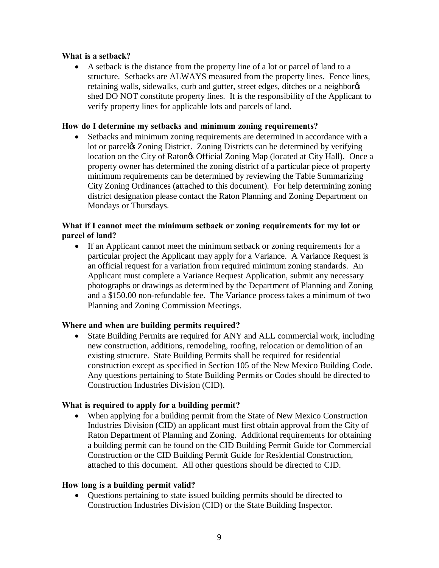### **What is a setback?**

A setback is the distance from the property line of a lot or parcel of land to a structure. Setbacks are ALWAYS measured from the property lines. Fence lines, retaining walls, sidewalks, curb and gutter, street edges, ditches or a neighbor  $\alpha$ shed DO NOT constitute property lines. It is the responsibility of the Applicant to verify property lines for applicable lots and parcels of land.

### **How do I determine my setbacks and minimum zoning requirements?**

· Setbacks and minimum zoning requirements are determined in accordance with a lot or parcel's Zoning District. Zoning Districts can be determined by verifying location on the City of Ratongs Official Zoning Map (located at City Hall). Once a property owner has determined the zoning district of a particular piece of property minimum requirements can be determined by reviewing the Table Summarizing City Zoning Ordinances (attached to this document). For help determining zoning district designation please contact the Raton Planning and Zoning Department on Mondays or Thursdays.

### **What if I cannot meet the minimum setback or zoning requirements for my lot or parcel of land?**

• If an Applicant cannot meet the minimum setback or zoning requirements for a particular project the Applicant may apply for a Variance. A Variance Request is an official request for a variation from required minimum zoning standards. An Applicant must complete a Variance Request Application, submit any necessary photographs or drawings as determined by the Department of Planning and Zoning and a \$150.00 non-refundable fee. The Variance process takes a minimum of two Planning and Zoning Commission Meetings.

### **Where and when are building permits required?**

State Building Permits are required for ANY and ALL commercial work, including new construction, additions, remodeling, roofing, relocation or demolition of an existing structure. State Building Permits shall be required for residential construction except as specified in Section 105 of the New Mexico Building Code. Any questions pertaining to State Building Permits or Codes should be directed to Construction Industries Division (CID).

### **What is required to apply for a building permit?**

· When applying for a building permit from the State of New Mexico Construction Industries Division (CID) an applicant must first obtain approval from the City of Raton Department of Planning and Zoning. Additional requirements for obtaining a building permit can be found on the CID Building Permit Guide for Commercial Construction or the CID Building Permit Guide for Residential Construction, attached to this document. All other questions should be directed to CID.

### **How long is a building permit valid?**

· Questions pertaining to state issued building permits should be directed to Construction Industries Division (CID) or the State Building Inspector.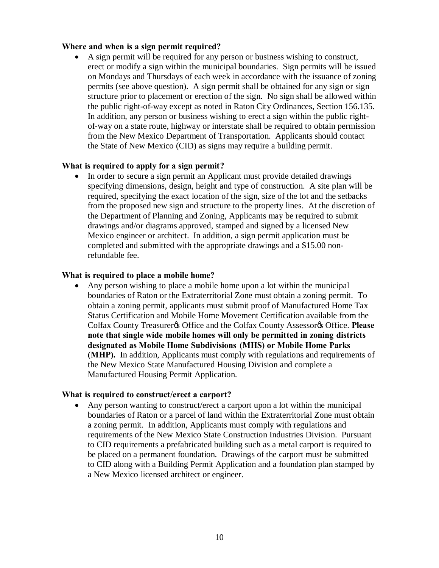### **Where and when is a sign permit required?**

· A sign permit will be required for any person or business wishing to construct, erect or modify a sign within the municipal boundaries. Sign permits will be issued on Mondays and Thursdays of each week in accordance with the issuance of zoning permits (see above question). A sign permit shall be obtained for any sign or sign structure prior to placement or erection of the sign. No sign shall be allowed within the public right-of-way except as noted in Raton City Ordinances, Section 156.135. In addition, any person or business wishing to erect a sign within the public rightof-way on a state route, highway or interstate shall be required to obtain permission from the New Mexico Department of Transportation. Applicants should contact the State of New Mexico (CID) as signs may require a building permit.

### **What is required to apply for a sign permit?**

In order to secure a sign permit an Applicant must provide detailed drawings specifying dimensions, design, height and type of construction. A site plan will be required, specifying the exact location of the sign, size of the lot and the setbacks from the proposed new sign and structure to the property lines. At the discretion of the Department of Planning and Zoning, Applicants may be required to submit drawings and/or diagrams approved, stamped and signed by a licensed New Mexico engineer or architect. In addition, a sign permit application must be completed and submitted with the appropriate drawings and a \$15.00 nonrefundable fee.

### **What is required to place a mobile home?**

· Any person wishing to place a mobile home upon a lot within the municipal boundaries of Raton or the Extraterritorial Zone must obtain a zoning permit. To obtain a zoning permit, applicants must submit proof of Manufactured Home Tax Status Certification and Mobile Home Movement Certification available from the Colfax County Treasurer's Office and the Colfax County Assessor's Office. **Please note that single wide mobile homes will only be permitted in zoning districts designated as Mobile Home Subdivisions (MHS) or Mobile Home Parks (MHP).** In addition, Applicants must comply with regulations and requirements of the New Mexico State Manufactured Housing Division and complete a Manufactured Housing Permit Application.

### **What is required to construct/erect a carport?**

· Any person wanting to construct/erect a carport upon a lot within the municipal boundaries of Raton or a parcel of land within the Extraterritorial Zone must obtain a zoning permit. In addition, Applicants must comply with regulations and requirements of the New Mexico State Construction Industries Division. Pursuant to CID requirements a prefabricated building such as a metal carport is required to be placed on a permanent foundation. Drawings of the carport must be submitted to CID along with a Building Permit Application and a foundation plan stamped by a New Mexico licensed architect or engineer.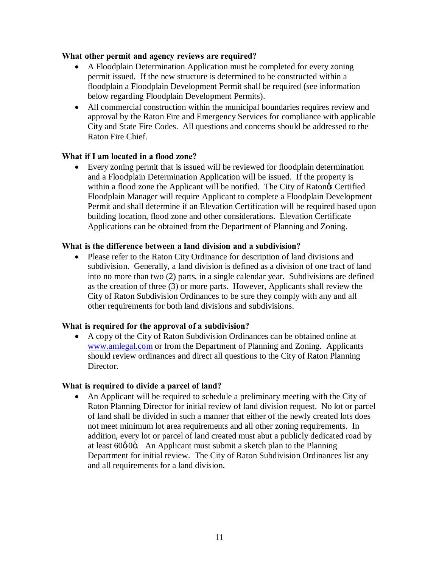### **What other permit and agency reviews are required?**

- · A Floodplain Determination Application must be completed for every zoning permit issued. If the new structure is determined to be constructed within a floodplain a Floodplain Development Permit shall be required (see information below regarding Floodplain Development Permits).
- · All commercial construction within the municipal boundaries requires review and approval by the Raton Fire and Emergency Services for compliance with applicable City and State Fire Codes. All questions and concerns should be addressed to the Raton Fire Chief.

### **What if I am located in a flood zone?**

· Every zoning permit that is issued will be reviewed for floodplain determination and a Floodplain Determination Application will be issued. If the property is within a flood zone the Applicant will be notified. The City of Raton $\alpha$  Certified Floodplain Manager will require Applicant to complete a Floodplain Development Permit and shall determine if an Elevation Certification will be required based upon building location, flood zone and other considerations. Elevation Certificate Applications can be obtained from the Department of Planning and Zoning.

### **What is the difference between a land division and a subdivision?**

Please refer to the Raton City Ordinance for description of land divisions and subdivision. Generally, a land division is defined as a division of one tract of land into no more than two (2) parts, in a single calendar year. Subdivisions are defined as the creation of three (3) or more parts. However, Applicants shall review the City of Raton Subdivision Ordinances to be sure they comply with any and all other requirements for both land divisions and subdivisions.

### **What is required for the approval of a subdivision?**

· A copy of the City of Raton Subdivision Ordinances can be obtained online at www.amlegal.com or from the Department of Planning and Zoning. Applicants should review ordinances and direct all questions to the City of Raton Planning Director.

### **What is required to divide a parcel of land?**

• An Applicant will be required to schedule a preliminary meeting with the City of Raton Planning Director for initial review of land division request. No lot or parcel of land shall be divided in such a manner that either of the newly created lots does not meet minimum lot area requirements and all other zoning requirements. In addition, every lot or parcel of land created must abut a publicly dedicated road by at least  $60\phi 0$ ö. An Applicant must submit a sketch plan to the Planning Department for initial review. The City of Raton Subdivision Ordinances list any and all requirements for a land division.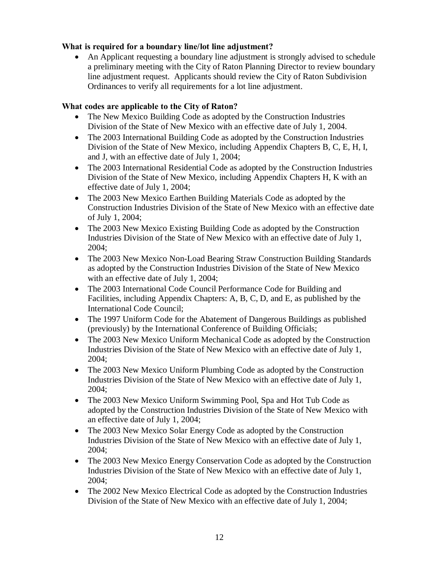### **What is required for a boundary line/lot line adjustment?**

An Applicant requesting a boundary line adjustment is strongly advised to schedule a preliminary meeting with the City of Raton Planning Director to review boundary line adjustment request. Applicants should review the City of Raton Subdivision Ordinances to verify all requirements for a lot line adjustment.

### **What codes are applicable to the City of Raton?**

- The New Mexico Building Code as adopted by the Construction Industries Division of the State of New Mexico with an effective date of July 1, 2004.
- The 2003 International Building Code as adopted by the Construction Industries Division of the State of New Mexico, including Appendix Chapters B, C, E, H, I, and J, with an effective date of July 1, 2004;
- The 2003 International Residential Code as adopted by the Construction Industries Division of the State of New Mexico, including Appendix Chapters H, K with an effective date of July 1, 2004;
- The 2003 New Mexico Earthen Building Materials Code as adopted by the Construction Industries Division of the State of New Mexico with an effective date of July 1, 2004;
- The 2003 New Mexico Existing Building Code as adopted by the Construction Industries Division of the State of New Mexico with an effective date of July 1, 2004;
- The 2003 New Mexico Non-Load Bearing Straw Construction Building Standards as adopted by the Construction Industries Division of the State of New Mexico with an effective date of July 1, 2004;
- The 2003 International Code Council Performance Code for Building and Facilities, including Appendix Chapters: A, B, C, D, and E, as published by the International Code Council;
- The 1997 Uniform Code for the Abatement of Dangerous Buildings as published (previously) by the International Conference of Building Officials;
- The 2003 New Mexico Uniform Mechanical Code as adopted by the Construction Industries Division of the State of New Mexico with an effective date of July 1, 2004;
- The 2003 New Mexico Uniform Plumbing Code as adopted by the Construction Industries Division of the State of New Mexico with an effective date of July 1, 2004;
- The 2003 New Mexico Uniform Swimming Pool, Spa and Hot Tub Code as adopted by the Construction Industries Division of the State of New Mexico with an effective date of July 1, 2004;
- The 2003 New Mexico Solar Energy Code as adopted by the Construction Industries Division of the State of New Mexico with an effective date of July 1, 2004;
- The 2003 New Mexico Energy Conservation Code as adopted by the Construction Industries Division of the State of New Mexico with an effective date of July 1, 2004;
- The 2002 New Mexico Electrical Code as adopted by the Construction Industries Division of the State of New Mexico with an effective date of July 1, 2004;